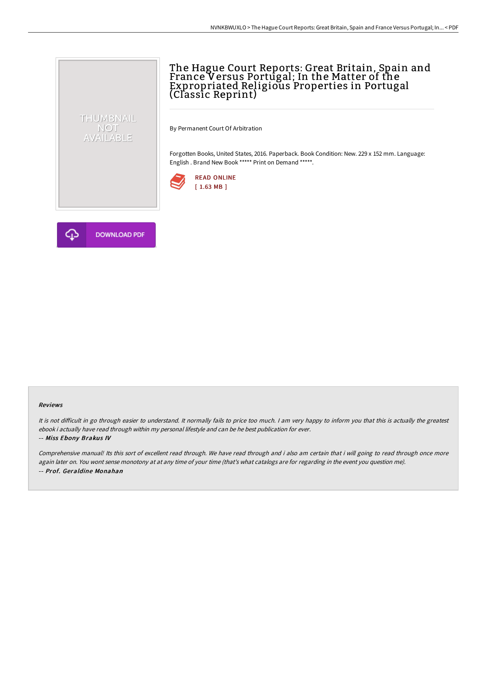## The Hague Court Reports: Great Britain, Spain and France Versus Portugal; In the Matter of the Expropriated Religious Properties in Portugal (Classic Reprint)

By Permanent Court Of Arbitration

Forgotten Books, United States, 2016. Paperback. Book Condition: New. 229 x 152 mm. Language: English . Brand New Book \*\*\*\*\* Print on Demand \*\*\*\*\*.





THUMBNAIL NOT<br>AVAILABLE

## Reviews

It is not difficult in go through easier to understand. It normally fails to price too much. I am very happy to inform you that this is actually the greatest ebook i actually have read through within my personal lifestyle and can be he best publication for ever.

## -- Miss Ebony Brakus IV

Comprehensive manual! Its this sort of excellent read through. We have read through and i also am certain that i will going to read through once more again later on. You wont sense monotony at at any time of your time (that's what catalogs are for regarding in the event you question me). -- Prof. Geraldine Monahan